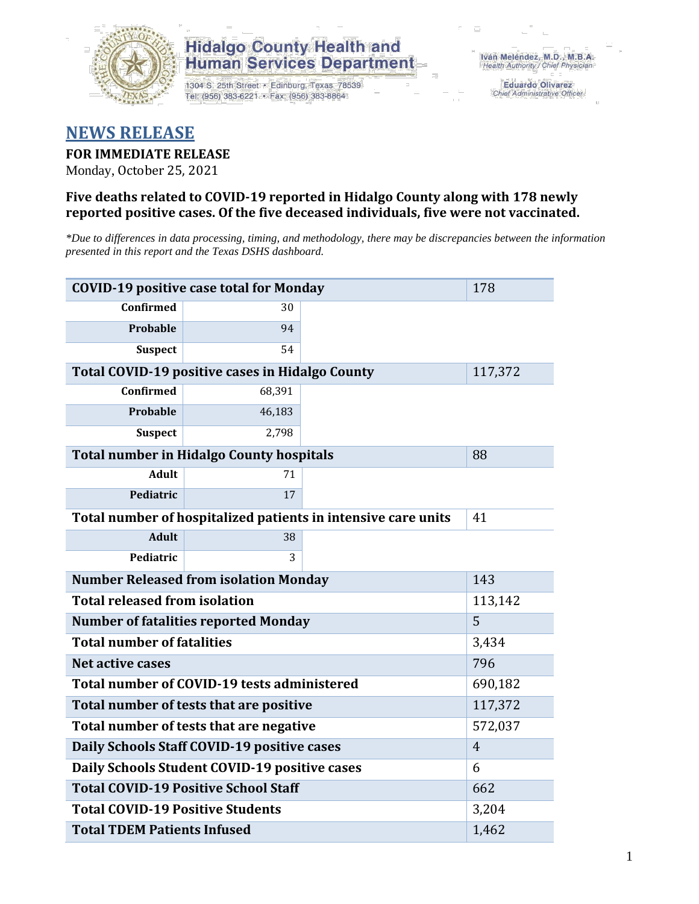

### **Hidalgo County Health and Human Services Department**

1304 S. 25th Street · Edinburg, Texas 78539 Tel: (956) 383-6221 · Fax: (956) 383-8864

**Eduardo Olivarez** Chief Administrative Officer

## **NEWS RELEASE**

#### **FOR IMMEDIATE RELEASE**

Monday, October 25, 2021

#### **Five deaths related to COVID-19 reported in Hidalgo County along with 178 newly reported positive cases. Of the five deceased individuals, five were not vaccinated.**

*\*Due to differences in data processing, timing, and methodology, there may be discrepancies between the information presented in this report and the Texas DSHS dashboard.*

| <b>COVID-19 positive case total for Monday</b>                | 178                                                    |         |         |  |  |
|---------------------------------------------------------------|--------------------------------------------------------|---------|---------|--|--|
| <b>Confirmed</b>                                              | 30                                                     |         |         |  |  |
| <b>Probable</b>                                               | 94                                                     |         |         |  |  |
| <b>Suspect</b>                                                | 54                                                     |         |         |  |  |
|                                                               | <b>Total COVID-19 positive cases in Hidalgo County</b> |         | 117,372 |  |  |
| <b>Confirmed</b>                                              | 68,391                                                 |         |         |  |  |
| Probable                                                      | 46,183                                                 |         |         |  |  |
| <b>Suspect</b>                                                | 2,798                                                  |         |         |  |  |
|                                                               | <b>Total number in Hidalgo County hospitals</b>        |         | 88      |  |  |
| <b>Adult</b>                                                  | 71                                                     |         |         |  |  |
| Pediatric                                                     | 17                                                     |         |         |  |  |
| Total number of hospitalized patients in intensive care units | 41                                                     |         |         |  |  |
| <b>Adult</b>                                                  | 38                                                     |         |         |  |  |
| Pediatric                                                     | 3                                                      |         |         |  |  |
| <b>Number Released from isolation Monday</b>                  | 143                                                    |         |         |  |  |
| <b>Total released from isolation</b><br>113,142               |                                                        |         |         |  |  |
| <b>Number of fatalities reported Monday</b>                   | 5                                                      |         |         |  |  |
| <b>Total number of fatalities</b>                             | 3,434                                                  |         |         |  |  |
| Net active cases                                              |                                                        | 796     |         |  |  |
| Total number of COVID-19 tests administered                   |                                                        | 690,182 |         |  |  |
| Total number of tests that are positive                       | 117,372                                                |         |         |  |  |
| Total number of tests that are negative                       | 572,037                                                |         |         |  |  |
| Daily Schools Staff COVID-19 positive cases                   | $\overline{4}$                                         |         |         |  |  |
| Daily Schools Student COVID-19 positive cases                 | 6                                                      |         |         |  |  |
| <b>Total COVID-19 Positive School Staff</b>                   | 662                                                    |         |         |  |  |
| <b>Total COVID-19 Positive Students</b>                       | 3,204                                                  |         |         |  |  |
| <b>Total TDEM Patients Infused</b>                            | 1,462                                                  |         |         |  |  |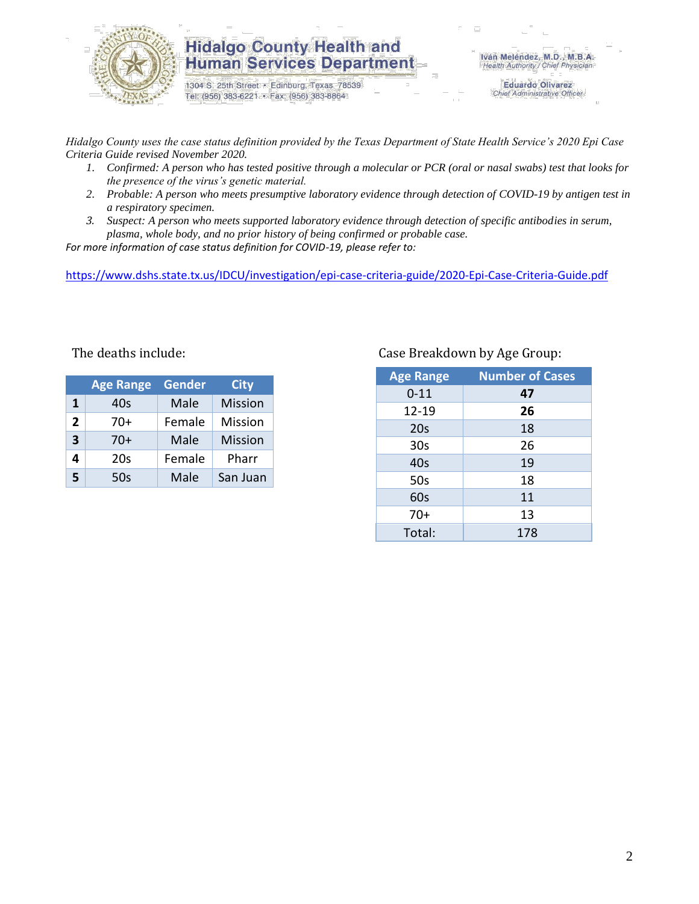

### **Hidalgo County Health and Human Services Department**

1304 S. 25th Street · Edinburg, Texas 78539 Tel: (956) 383-6221 · Fax: (956) 383-8864

**Eduardo Olivarez** Chief Administrative Officer

*Hidalgo County uses the case status definition provided by the Texas Department of State Health Service's 2020 Epi Case Criteria Guide revised November 2020.*

- *1. Confirmed: A person who has tested positive through a molecular or PCR (oral or nasal swabs) test that looks for the presence of the virus's genetic material.*
- *2. Probable: A person who meets presumptive laboratory evidence through detection of COVID-19 by antigen test in a respiratory specimen.*
- *3. Suspect: A person who meets supported laboratory evidence through detection of specific antibodies in serum, plasma, whole body, and no prior history of being confirmed or probable case.*

*For more information of case status definition for COVID-19, please refer to:*

<https://www.dshs.state.tx.us/IDCU/investigation/epi-case-criteria-guide/2020-Epi-Case-Criteria-Guide.pdf>

|              | <b>Age Range</b> | <b>Gender</b> | <b>City</b>    |
|--------------|------------------|---------------|----------------|
| 1            | 40s              | Male          | <b>Mission</b> |
| $\mathbf{2}$ | 70+              | Female        | Mission        |
| 3            | 70+              | Male          | <b>Mission</b> |
| 4            | 20 <sub>s</sub>  | Female        | Pharr          |
| 5            | 50s              | Male          | San Juan       |

#### The deaths include: Case Breakdown by Age Group:

| <b>Age Range</b> | <b>Number of Cases</b> |  |  |
|------------------|------------------------|--|--|
| $0 - 11$         | 47                     |  |  |
| 12-19            | 26                     |  |  |
| 20s              | 18                     |  |  |
| 30 <sub>s</sub>  | 26                     |  |  |
| 40s              | 19                     |  |  |
| 50s              | 18                     |  |  |
| 60s              | 11                     |  |  |
| $70+$            | 13                     |  |  |
| Total:           | 178                    |  |  |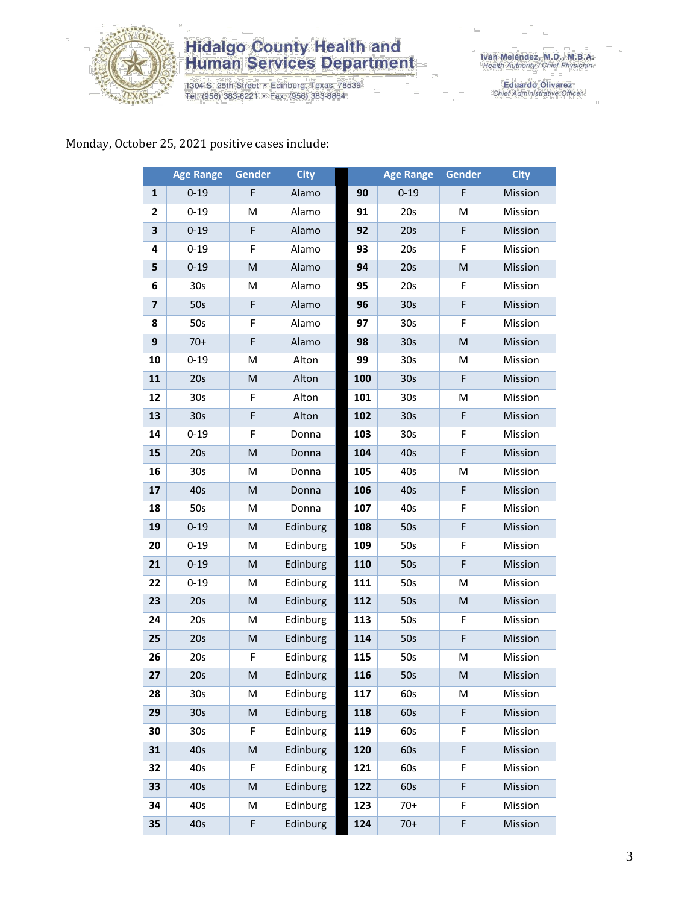

# **Hidalgo County Health and<br>Human Services Department**

1304 S. 25th Street • Edinburg, Texas 78539<br>Tel: (956) 383-6221 • Fax: (956) 383-8864

Iván Meléndez, M.D., M.B.A.<br>Health Authority / Chief Physician

Eduardo Olivarez<br>Chief Administrative Officer

### Monday, October 25, 2021 positive cases include:

|                         | <b>Age Range</b> | Gender                                                                                                     | <b>City</b> |     | <b>Age Range</b> | <b>Gender</b> | <b>City</b> |
|-------------------------|------------------|------------------------------------------------------------------------------------------------------------|-------------|-----|------------------|---------------|-------------|
| 1                       | $0 - 19$         | F                                                                                                          | Alamo       | 90  | $0 - 19$         | F             | Mission     |
| $\mathbf{2}$            | $0 - 19$         | M                                                                                                          | Alamo       | 91  | 20s              | M             | Mission     |
| 3                       | $0 - 19$         | F                                                                                                          | Alamo       | 92  | 20s              | F             | Mission     |
| 4                       | $0 - 19$         | F                                                                                                          | Alamo       | 93  | 20s              | F             | Mission     |
| 5                       | $0 - 19$         | ${\sf M}$                                                                                                  | Alamo       | 94  | 20s              | M             | Mission     |
| 6                       | 30 <sub>s</sub>  | M                                                                                                          | Alamo       | 95  | 20s              | F             | Mission     |
| $\overline{\mathbf{z}}$ | 50s              | $\mathsf F$                                                                                                | Alamo       | 96  | 30s              | F             | Mission     |
| 8                       | 50s              | F                                                                                                          | Alamo       | 97  | 30 <sub>s</sub>  | F             | Mission     |
| 9                       | $70+$            | $\mathsf F$                                                                                                | Alamo       | 98  | 30s              | M             | Mission     |
| 10                      | $0 - 19$         | M                                                                                                          | Alton       | 99  | 30 <sub>s</sub>  | M             | Mission     |
| 11                      | 20s              | $\mathsf{M}% _{T}=\mathsf{M}_{T}\!\left( a,b\right) ,\ \mathsf{M}_{T}=\mathsf{M}_{T}\!\left( a,b\right) ,$ | Alton       | 100 | 30s              | F             | Mission     |
| 12                      | 30 <sub>s</sub>  | F                                                                                                          | Alton       | 101 | 30 <sub>s</sub>  | M             | Mission     |
| 13                      | 30 <sub>s</sub>  | $\mathsf F$                                                                                                | Alton       | 102 | 30s              | F             | Mission     |
| 14                      | $0 - 19$         | F                                                                                                          | Donna       | 103 | 30s              | F             | Mission     |
| 15                      | 20s              | M                                                                                                          | Donna       | 104 | 40s              | F             | Mission     |
| 16                      | 30 <sub>s</sub>  | M                                                                                                          | Donna       | 105 | 40s              | M             | Mission     |
| 17                      | 40s              | M                                                                                                          | Donna       | 106 | 40s              | $\mathsf F$   | Mission     |
| 18                      | 50s              | M                                                                                                          | Donna       | 107 | 40s              | F             | Mission     |
| 19                      | $0 - 19$         | M                                                                                                          | Edinburg    | 108 | 50s              | F             | Mission     |
| 20                      | $0 - 19$         | M                                                                                                          | Edinburg    | 109 | 50s              | F             | Mission     |
| 21                      | $0 - 19$         | M                                                                                                          | Edinburg    | 110 | 50s              | F             | Mission     |
| 22                      | $0 - 19$         | M                                                                                                          | Edinburg    | 111 | 50s              | M             | Mission     |
| 23                      | 20s              | M                                                                                                          | Edinburg    | 112 | 50s              | M             | Mission     |
| 24                      | 20s              | M                                                                                                          | Edinburg    | 113 | 50s              | F             | Mission     |
| 25                      | 20s              | $\mathsf{M}% _{T}=\mathsf{M}_{T}\!\left( a,b\right) ,\ \mathsf{M}_{T}=\mathsf{M}_{T}\!\left( a,b\right) ,$ | Edinburg    | 114 | 50s              | F             | Mission     |
| 26                      | 20s              | F                                                                                                          | Edinburg    | 115 | 50s              | M             | Mission     |
| 27                      | 20s              | M                                                                                                          | Edinburg    | 116 | 50s              | M             | Mission     |
| 28                      | 30s              | м                                                                                                          | Edinburg    | 117 | 60s              | M             | Mission     |
| 29                      | 30 <sub>s</sub>  | M                                                                                                          | Edinburg    | 118 | 60s              | F             | Mission     |
| 30                      | 30 <sub>s</sub>  | F                                                                                                          | Edinburg    | 119 | 60s              | F             | Mission     |
| 31                      | 40s              | $\mathsf{M}% _{T}=\mathsf{M}_{T}\!\left( a,b\right) ,\ \mathsf{M}_{T}=\mathsf{M}_{T}\!\left( a,b\right) ,$ | Edinburg    | 120 | 60s              | F             | Mission     |
| 32                      | 40s              | F                                                                                                          | Edinburg    | 121 | 60s              | F             | Mission     |
| 33                      | 40s              | $\mathsf{M}% _{T}=\mathsf{M}_{T}\!\left( a,b\right) ,\ \mathsf{M}_{T}=\mathsf{M}_{T}\!\left( a,b\right) ,$ | Edinburg    | 122 | 60s              | F             | Mission     |
| 34                      | 40s              | M                                                                                                          | Edinburg    | 123 | $70+$            | F             | Mission     |
| 35                      | 40s              | F                                                                                                          | Edinburg    | 124 | $70+$            | F             | Mission     |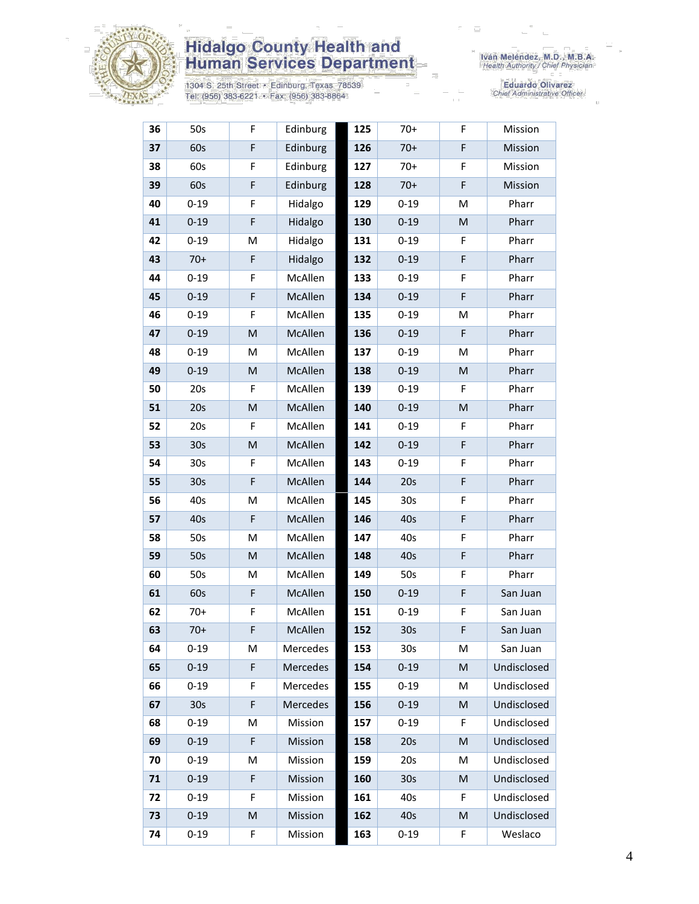

# **Hidalgo County Health and<br>Human Services Department**

1304 S. 25th Street • Edinburg, Texas 78539<br>Tel: (956) 383-6221 • Fax: (956) 383-8864

Iván Meléndez, M.D., M.B.A.<br>Health Authority / Chief Physician

Eduardo Olivarez<br>Chief Administrative Officer

| 36 | 50s             | F                                                                                                          | Edinburg | 125 | $70+$           | F                                                                                                          | Mission     |
|----|-----------------|------------------------------------------------------------------------------------------------------------|----------|-----|-----------------|------------------------------------------------------------------------------------------------------------|-------------|
| 37 | 60s             | F                                                                                                          | Edinburg | 126 | $70+$           | F                                                                                                          | Mission     |
| 38 | 60s             | F                                                                                                          | Edinburg | 127 | $70+$           | F                                                                                                          | Mission     |
| 39 | 60s             | $\mathsf F$                                                                                                | Edinburg | 128 | $70+$           | F                                                                                                          | Mission     |
| 40 | $0 - 19$        | F                                                                                                          | Hidalgo  | 129 | $0 - 19$        | M                                                                                                          | Pharr       |
| 41 | $0 - 19$        | F                                                                                                          | Hidalgo  | 130 | $0 - 19$        | M                                                                                                          | Pharr       |
| 42 | $0 - 19$        | M                                                                                                          | Hidalgo  | 131 | $0 - 19$        | F                                                                                                          | Pharr       |
| 43 | $70+$           | $\mathsf F$                                                                                                | Hidalgo  | 132 | $0 - 19$        | F                                                                                                          | Pharr       |
| 44 | $0 - 19$        | $\mathsf F$                                                                                                | McAllen  | 133 | $0 - 19$        | F                                                                                                          | Pharr       |
| 45 | $0 - 19$        | F                                                                                                          | McAllen  | 134 | $0 - 19$        | F                                                                                                          | Pharr       |
| 46 | $0 - 19$        | F                                                                                                          | McAllen  | 135 | $0 - 19$        | M                                                                                                          | Pharr       |
| 47 | $0 - 19$        | M                                                                                                          | McAllen  | 136 | $0 - 19$        | F                                                                                                          | Pharr       |
| 48 | $0 - 19$        | M                                                                                                          | McAllen  | 137 | $0 - 19$        | M                                                                                                          | Pharr       |
| 49 | $0 - 19$        | ${\sf M}$                                                                                                  | McAllen  | 138 | $0 - 19$        | $\mathsf{M}% _{T}=\mathsf{M}_{T}\!\left( a,b\right) ,\ \mathsf{M}_{T}=\mathsf{M}_{T}\!\left( a,b\right) ,$ | Pharr       |
| 50 | 20s             | F                                                                                                          | McAllen  | 139 | $0 - 19$        | F                                                                                                          | Pharr       |
| 51 | 20s             | M                                                                                                          | McAllen  | 140 | $0 - 19$        | M                                                                                                          | Pharr       |
| 52 | 20s             | F                                                                                                          | McAllen  | 141 | $0 - 19$        | F                                                                                                          | Pharr       |
| 53 | 30 <sub>s</sub> | $\mathsf{M}% _{T}=\mathsf{M}_{T}\!\left( a,b\right) ,\ \mathsf{M}_{T}=\mathsf{M}_{T}\!\left( a,b\right) ,$ | McAllen  | 142 | $0 - 19$        | F                                                                                                          | Pharr       |
| 54 | 30 <sub>s</sub> | $\mathsf F$                                                                                                | McAllen  | 143 | $0 - 19$        | F                                                                                                          | Pharr       |
| 55 | 30 <sub>s</sub> | F                                                                                                          | McAllen  | 144 | 20s             | F                                                                                                          | Pharr       |
| 56 | 40s             | M                                                                                                          | McAllen  | 145 | 30 <sub>s</sub> | F                                                                                                          | Pharr       |
| 57 | 40s             | $\mathsf F$                                                                                                | McAllen  | 146 | 40s             | F                                                                                                          | Pharr       |
| 58 | 50s             | M                                                                                                          | McAllen  | 147 | 40s             | F                                                                                                          | Pharr       |
| 59 | 50s             | $\mathsf{M}% _{T}=\mathsf{M}_{T}\!\left( a,b\right) ,\ \mathsf{M}_{T}=\mathsf{M}_{T}\!\left( a,b\right) ,$ | McAllen  | 148 | 40s             | F                                                                                                          | Pharr       |
| 60 | 50s             | M                                                                                                          | McAllen  | 149 | 50s             | F                                                                                                          | Pharr       |
| 61 | 60s             | $\mathsf F$                                                                                                | McAllen  | 150 | $0 - 19$        | F                                                                                                          | San Juan    |
| 62 | $70+$           | F                                                                                                          | McAllen  | 151 | $0 - 19$        | F                                                                                                          | San Juan    |
| 63 | $70+$           | F                                                                                                          | McAllen  | 152 | 30 <sub>s</sub> | F                                                                                                          | San Juan    |
| 64 | $0 - 19$        | M                                                                                                          | Mercedes | 153 | 30 <sub>s</sub> | М                                                                                                          | San Juan    |
| 65 | $0 - 19$        | F                                                                                                          | Mercedes | 154 | $0 - 19$        | M                                                                                                          | Undisclosed |
| 66 | $0 - 19$        | F                                                                                                          | Mercedes | 155 | $0 - 19$        | M                                                                                                          | Undisclosed |
| 67 | 30s             | F                                                                                                          | Mercedes | 156 | $0 - 19$        | M                                                                                                          | Undisclosed |
| 68 | $0 - 19$        | M                                                                                                          | Mission  | 157 | $0 - 19$        | F                                                                                                          | Undisclosed |
| 69 | $0 - 19$        | F                                                                                                          | Mission  | 158 | 20s             | M                                                                                                          | Undisclosed |
| 70 | $0 - 19$        | M                                                                                                          | Mission  | 159 | 20s             | M                                                                                                          | Undisclosed |
| 71 | $0 - 19$        | F                                                                                                          | Mission  | 160 | 30 <sub>s</sub> | M                                                                                                          | Undisclosed |
| 72 | $0 - 19$        | F                                                                                                          | Mission  | 161 | 40s             | F                                                                                                          | Undisclosed |
| 73 | $0 - 19$        | M                                                                                                          | Mission  | 162 | 40s             | M                                                                                                          | Undisclosed |
| 74 | $0 - 19$        | F                                                                                                          | Mission  | 163 | $0 - 19$        | F                                                                                                          | Weslaco     |